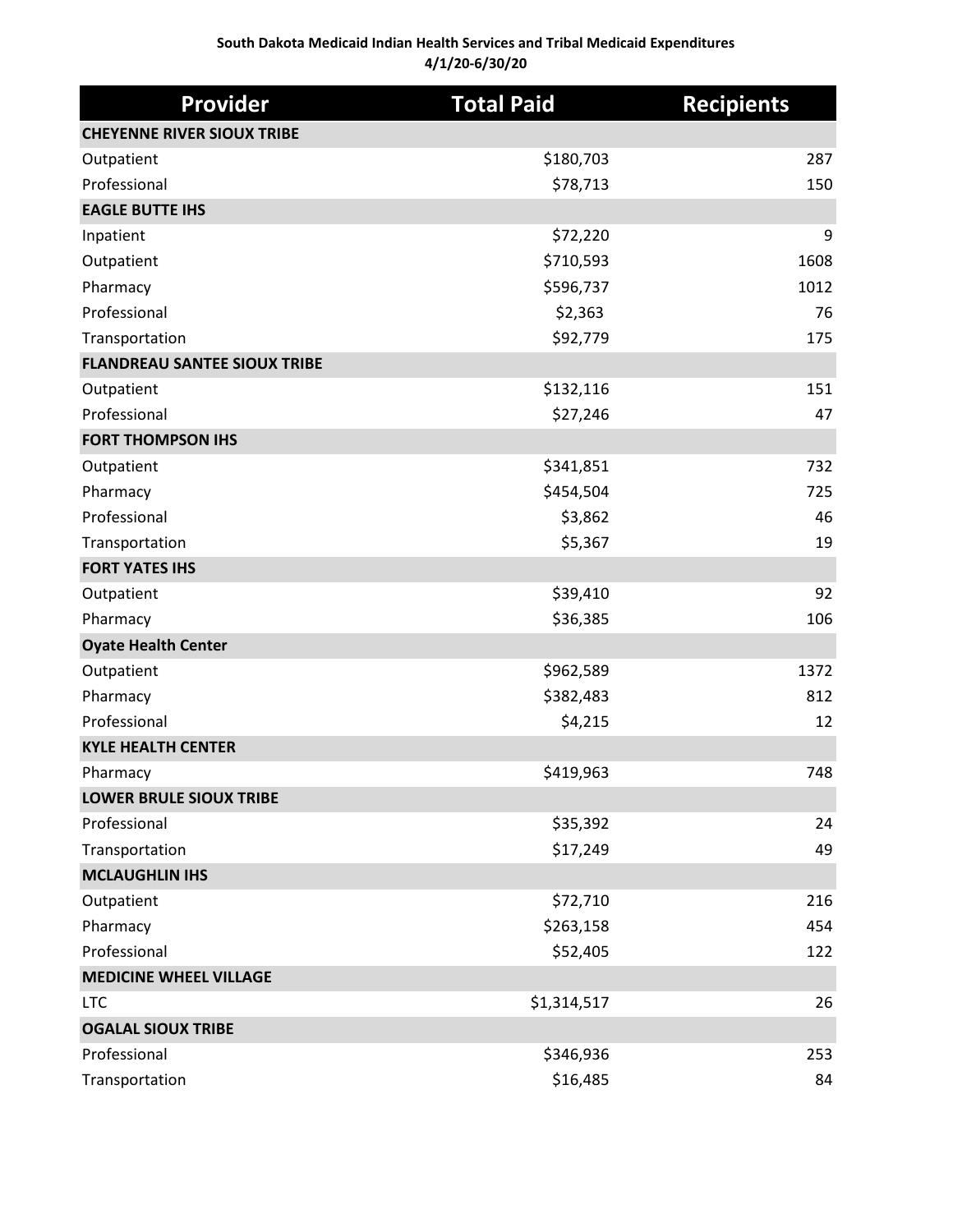### **South Dakota Medicaid Indian Health Services and Tribal Medicaid Expenditures 4/1/20-6/30/20**

| <b>Provider</b>                     | <b>Total Paid</b> | <b>Recipients</b> |
|-------------------------------------|-------------------|-------------------|
| <b>CHEYENNE RIVER SIOUX TRIBE</b>   |                   |                   |
| Outpatient                          | \$180,703         | 287               |
| Professional                        | \$78,713          | 150               |
| <b>EAGLE BUTTE IHS</b>              |                   |                   |
| Inpatient                           | \$72,220          | 9                 |
| Outpatient                          | \$710,593         | 1608              |
| Pharmacy                            | \$596,737         | 1012              |
| Professional                        | \$2,363           | 76                |
| Transportation                      | \$92,779          | 175               |
| <b>FLANDREAU SANTEE SIOUX TRIBE</b> |                   |                   |
| Outpatient                          | \$132,116         | 151               |
| Professional                        | \$27,246          | 47                |
| <b>FORT THOMPSON IHS</b>            |                   |                   |
| Outpatient                          | \$341,851         | 732               |
| Pharmacy                            | \$454,504         | 725               |
| Professional                        | \$3,862           | 46                |
| Transportation                      | \$5,367           | 19                |
| <b>FORT YATES IHS</b>               |                   |                   |
| Outpatient                          | \$39,410          | 92                |
| Pharmacy                            | \$36,385          | 106               |
| <b>Oyate Health Center</b>          |                   |                   |
| Outpatient                          | \$962,589         | 1372              |
| Pharmacy                            | \$382,483         | 812               |
| Professional                        | \$4,215           | 12                |
| <b>KYLE HEALTH CENTER</b>           |                   |                   |
| Pharmacy                            | \$419,963         | 748               |
| <b>LOWER BRULE SIOUX TRIBE</b>      |                   |                   |
| Professional                        | \$35,392          | 24                |
| Transportation                      | \$17,249          | 49                |
| <b>MCLAUGHLIN IHS</b>               |                   |                   |
| Outpatient                          | \$72,710          | 216               |
| Pharmacy                            | \$263,158         | 454               |
| Professional                        | \$52,405          | 122               |
| <b>MEDICINE WHEEL VILLAGE</b>       |                   |                   |
| <b>LTC</b>                          | \$1,314,517       | 26                |
| <b>OGALAL SIOUX TRIBE</b>           |                   |                   |
| Professional                        | \$346,936         | 253               |
| Transportation                      | \$16,485          | 84                |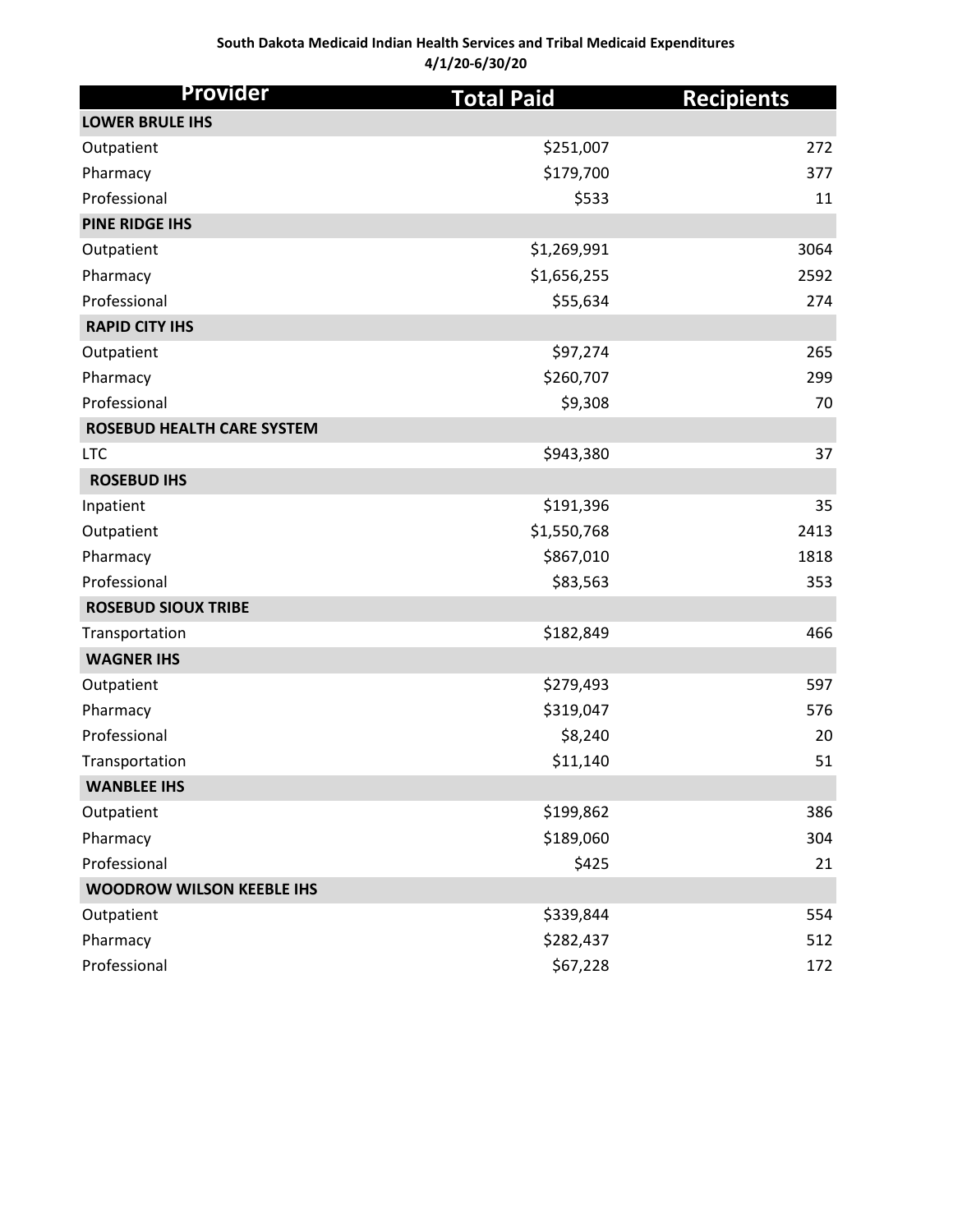### **South Dakota Medicaid Indian Health Services and Tribal Medicaid Expenditures 4/1/20-6/30/20**

| <b>Provider</b>                   | <b>Total Paid</b> | <b>Recipients</b> |
|-----------------------------------|-------------------|-------------------|
| <b>LOWER BRULE IHS</b>            |                   |                   |
| Outpatient                        | \$251,007         | 272               |
| Pharmacy                          | \$179,700         | 377               |
| Professional                      | \$533             | 11                |
| <b>PINE RIDGE IHS</b>             |                   |                   |
| Outpatient                        | \$1,269,991       | 3064              |
| Pharmacy                          | \$1,656,255       | 2592              |
| Professional                      | \$55,634          | 274               |
| <b>RAPID CITY IHS</b>             |                   |                   |
| Outpatient                        | \$97,274          | 265               |
| Pharmacy                          | \$260,707         | 299               |
| Professional                      | \$9,308           | 70                |
| <b>ROSEBUD HEALTH CARE SYSTEM</b> |                   |                   |
| <b>LTC</b>                        | \$943,380         | 37                |
| <b>ROSEBUD IHS</b>                |                   |                   |
| Inpatient                         | \$191,396         | 35                |
| Outpatient                        | \$1,550,768       | 2413              |
| Pharmacy                          | \$867,010         | 1818              |
| Professional                      | \$83,563          | 353               |
| <b>ROSEBUD SIOUX TRIBE</b>        |                   |                   |
| Transportation                    | \$182,849         | 466               |
| <b>WAGNER IHS</b>                 |                   |                   |
| Outpatient                        | \$279,493         | 597               |
| Pharmacy                          | \$319,047         | 576               |
| Professional                      | \$8,240           | 20                |
| Transportation                    | \$11,140          | 51                |
| <b>WANBLEE IHS</b>                |                   |                   |
| Outpatient                        | \$199,862         | 386               |
| Pharmacy                          | \$189,060         | 304               |
| Professional                      | \$425             | 21                |
| <b>WOODROW WILSON KEEBLE IHS</b>  |                   |                   |
| Outpatient                        | \$339,844         | 554               |
| Pharmacy                          | \$282,437         | 512               |
| Professional                      | \$67,228          | 172               |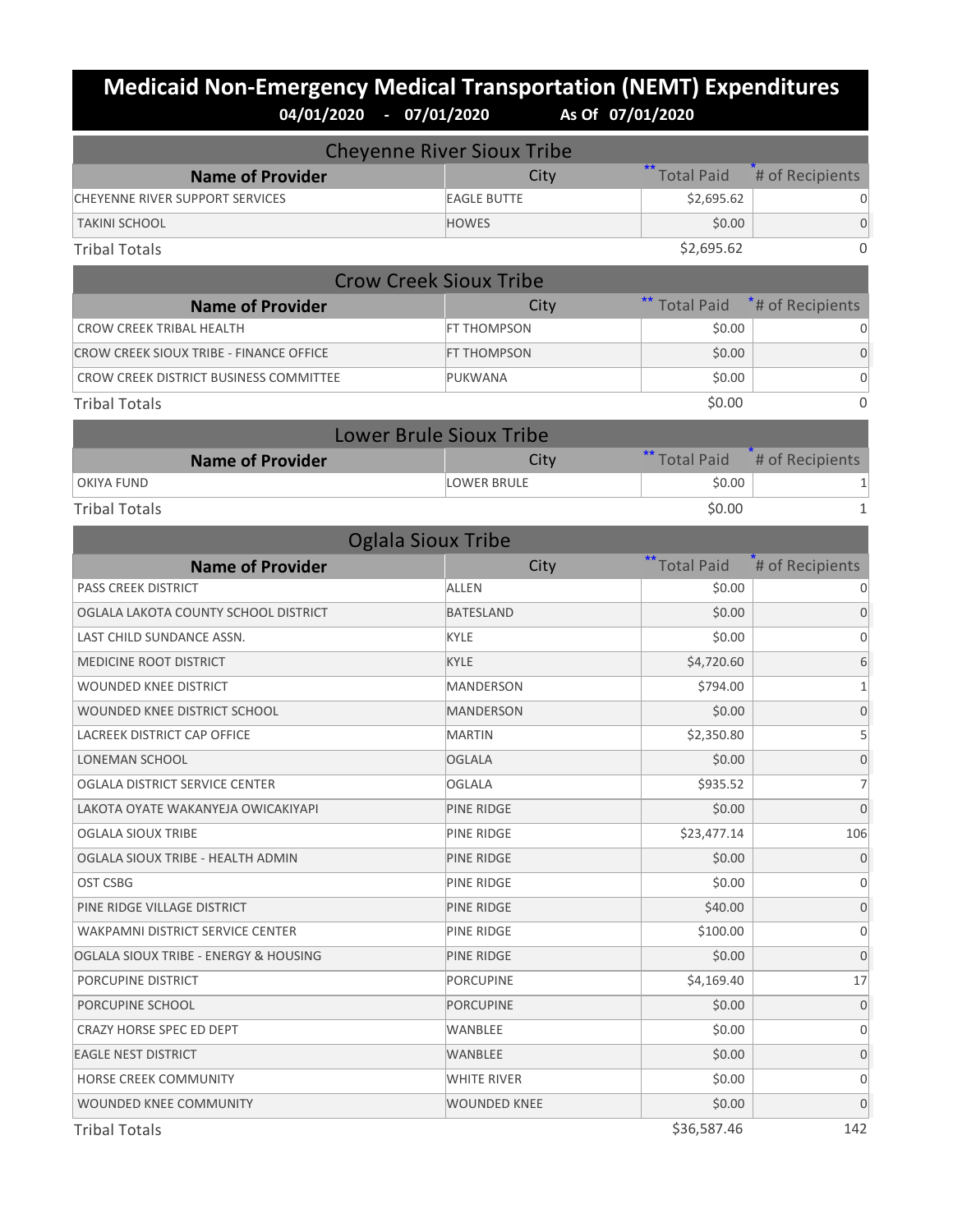## **Medicaid Non-Emergency Medical Transportation (NEMT) Expenditures**<br>04/01/2020 - 07/01/2020 As of 07/01/2020 **04/01/2020 - 07/01/2020 As Of 07/01/2020**

| <b>Cheyenne River Sioux Tribe</b>       |                                |                   |                  |
|-----------------------------------------|--------------------------------|-------------------|------------------|
| <b>Name of Provider</b>                 | City                           | <b>Total Paid</b> | # of Recipients  |
| <b>CHEYENNE RIVER SUPPORT SERVICES</b>  | <b>EAGLE BUTTE</b>             | \$2,695.62        | 0                |
| <b>TAKINI SCHOOL</b>                    | <b>HOWES</b>                   | \$0.00            | 0                |
| <b>Tribal Totals</b>                    |                                | \$2,695.62        | $\Omega$         |
|                                         | <b>Crow Creek Sioux Tribe</b>  |                   |                  |
| <b>Name of Provider</b>                 | City                           | <b>Total Paid</b> | *# of Recipients |
| <b>CROW CREEK TRIBAL HEALTH</b>         | <b>FT THOMPSON</b>             | \$0.00            | 0                |
| CROW CREEK SIOUX TRIBE - FINANCE OFFICE | FT THOMPSON                    | \$0.00            | 0                |
| CROW CREEK DISTRICT BUSINESS COMMITTEE  | PUKWANA                        | \$0.00            | 0                |
| <b>Tribal Totals</b>                    |                                | \$0.00            | 0                |
|                                         | <b>Lower Brule Sioux Tribe</b> |                   |                  |
| <b>Name of Provider</b>                 | City                           | ** Total Paid     | # of Recipients  |
| <b>OKIYA FUND</b>                       | <b>LOWER BRULE</b>             | \$0.00            |                  |
| <b>Tribal Totals</b>                    |                                | \$0.00            | $\mathbf{1}$     |
|                                         | <b>Oglala Sioux Tribe</b>      |                   |                  |
| <b>Name of Provider</b>                 | City                           | ** Total Paid     | # of Recipients  |
| <b>PASS CREEK DISTRICT</b>              | <b>ALLEN</b>                   | \$0.00            | 0                |
| OGLALA LAKOTA COUNTY SCHOOL DISTRICT    | <b>BATESLAND</b>               | \$0.00            | $\Omega$         |
| LAST CHILD SUNDANCE ASSN.               | <b>KYLE</b>                    | \$0.00            | 0                |
| MEDICINE ROOT DISTRICT                  | <b>KYLE</b>                    | \$4,720.60        | 6                |
| WOUNDED KNEE DISTRICT                   | <b>MANDERSON</b>               | \$794.00          | $\mathbf{1}$     |
| WOUNDED KNEE DISTRICT SCHOOL            | <b>MANDERSON</b>               | \$0.00            | 0                |
| LACREEK DISTRICT CAP OFFICE             | <b>MARTIN</b>                  | \$2,350.80        | 5                |
| <b>LONEMAN SCHOOL</b>                   | <b>OGLALA</b>                  | \$0.00            | $\overline{0}$   |
| OGLALA DISTRICT SERVICE CENTER          | <b>OGLALA</b>                  | \$935.52          | 7                |
| LAKOTA OYATE WAKANYEJA OWICAKIYAPI      | PINE RIDGE                     | \$0.00            | 0                |
| OGLALA SIOUX TRIBE                      | PINE RIDGE                     | \$23,477.14       | 106              |
| OGLALA SIOUX TRIBE - HEALTH ADMIN       | PINE RIDGE                     | \$0.00            | $\mathbf 0$      |
| <b>OST CSBG</b>                         | PINE RIDGE                     | \$0.00            | 0                |
| PINE RIDGE VILLAGE DISTRICT             | PINE RIDGE                     | \$40.00           | $\mathbf 0$      |
| <b>WAKPAMNI DISTRICT SERVICE CENTER</b> | PINE RIDGE                     | \$100.00          | 0                |
| OGLALA SIOUX TRIBE - ENERGY & HOUSING   | PINE RIDGE                     | \$0.00            | $\overline{0}$   |
| PORCUPINE DISTRICT                      | <b>PORCUPINE</b>               | \$4,169.40        | 17               |
| PORCUPINE SCHOOL                        | <b>PORCUPINE</b>               | \$0.00            | 0                |
| CRAZY HORSE SPEC ED DEPT                | WANBLEE                        | \$0.00            | 0                |
| <b>EAGLE NEST DISTRICT</b>              | WANBLEE                        | \$0.00            | $\mathbf 0$      |
| HORSE CREEK COMMUNITY                   | WHITE RIVER                    | \$0.00            | 0                |
| WOUNDED KNEE COMMUNITY                  | <b>WOUNDED KNEE</b>            | \$0.00            | 0                |
|                                         |                                |                   |                  |

 $\text{Tribal Totals} \hspace{1.5cm} 142$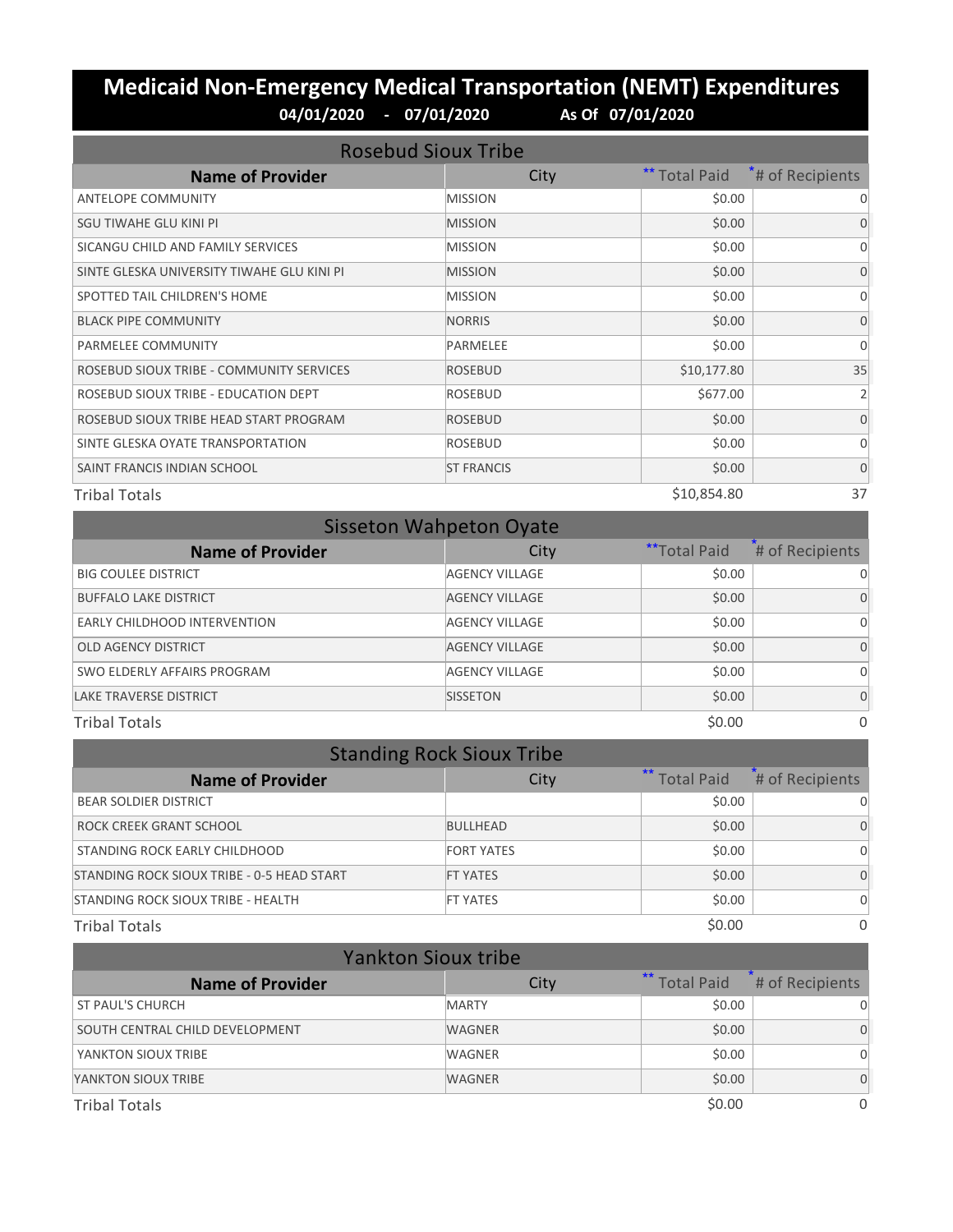# **Medicaid Non-Emergency Medical Transportation (NEMT) Expenditures 04/01/2020 - 07/01/2020 As Of 07/01/2020**

| <b>Rosebud Sioux Tribe</b>                 |                   |                      |                              |
|--------------------------------------------|-------------------|----------------------|------------------------------|
| <b>Name of Provider</b>                    | City              | <b>** Total Paid</b> | <sup>*</sup> # of Recipients |
| <b>ANTELOPE COMMUNITY</b>                  | <b>MISSION</b>    | \$0.00               | $\Omega$                     |
| SGU TIWAHE GLU KINI PI                     | <b>MISSION</b>    | \$0.00               | $\Omega$                     |
| SICANGU CHILD AND FAMILY SERVICES          | <b>MISSION</b>    | \$0.00               | $\Omega$                     |
| SINTE GLESKA UNIVERSITY TIWAHE GLU KINI PI | <b>MISSION</b>    | \$0.00               | $\Omega$                     |
| SPOTTED TAIL CHILDREN'S HOME               | <b>MISSION</b>    | \$0.00               | $\Omega$                     |
| <b>BLACK PIPE COMMUNITY</b>                | <b>NORRIS</b>     | \$0.00               | $\Omega$                     |
| PARMELEE COMMUNITY                         | PARMELEE          | \$0.00               | $\Omega$                     |
| ROSEBUD SIOUX TRIBE - COMMUNITY SERVICES   | <b>ROSEBUD</b>    | \$10,177.80          | 35                           |
| ROSEBUD SIOUX TRIBE - EDUCATION DEPT       | <b>ROSEBUD</b>    | \$677.00             | $\overline{2}$               |
| ROSEBUD SIOUX TRIBE HEAD START PROGRAM     | <b>ROSEBUD</b>    | \$0.00               | $\Omega$                     |
| SINTE GLESKA OYATE TRANSPORTATION          | <b>ROSEBUD</b>    | \$0.00               | $\Omega$                     |
| SAINT FRANCIS INDIAN SCHOOL                | <b>ST FRANCIS</b> | \$0.00               | $\Omega$                     |
| <b>Tribal Totals</b>                       |                   | \$10,854.80          | 37                           |

| <b>Sisseton Wahpeton Oyate</b> |                       |                     |                 |
|--------------------------------|-----------------------|---------------------|-----------------|
| <b>Name of Provider</b>        | City                  | <b>**Total Paid</b> | # of Recipients |
| <b>BIG COULEE DISTRICT</b>     | <b>AGENCY VILLAGE</b> | \$0.00              | 0               |
| <b>BUFFALO LAKE DISTRICT</b>   | <b>AGENCY VILLAGE</b> | \$0.00              | 0               |
| EARLY CHILDHOOD INTERVENTION   | <b>AGENCY VILLAGE</b> | \$0.00              | 0               |
| <b>OLD AGENCY DISTRICT</b>     | <b>AGENCY VILLAGE</b> | \$0.00              | 0               |
| SWO ELDERLY AFFAIRS PROGRAM    | <b>AGENCY VILLAGE</b> | \$0.00              | 0               |
| <b>LAKE TRAVERSE DISTRICT</b>  | <b>SISSETON</b>       | \$0.00              | 0               |
| <b>Tribal Totals</b>           |                       | \$0.00              | $\Omega$        |

| <b>Standing Rock Sioux Tribe</b>           |                   |                      |                 |
|--------------------------------------------|-------------------|----------------------|-----------------|
| <b>Name of Provider</b>                    | City              | <b>**</b> Total Paid | # of Recipients |
| <b>BEAR SOLDIER DISTRICT</b>               |                   | \$0.00               |                 |
| ROCK CREEK GRANT SCHOOL                    | <b>BULLHEAD</b>   | \$0.00               |                 |
| STANDING ROCK EARLY CHILDHOOD              | <b>FORT YATES</b> | \$0.00               |                 |
| STANDING ROCK SIOUX TRIBE - 0-5 HEAD START | <b>FT YATES</b>   | \$0.00               |                 |
| STANDING ROCK SIOUX TRIBE - HEALTH         | <b>FT YATES</b>   | \$0.00               | $\Omega$        |
| <b>Tribal Totals</b>                       |                   | \$0.00               | 0               |

| <b>Yankton Sioux tribe</b>      |               |               |                 |
|---------------------------------|---------------|---------------|-----------------|
| <b>Name of Provider</b>         | City          | ** Total Paid | # of Recipients |
| <b>ST PAUL'S CHURCH</b>         | <b>MARTY</b>  | \$0.00        |                 |
| SOUTH CENTRAL CHILD DEVELOPMENT | <b>WAGNER</b> | \$0.00        | 0               |
| YANKTON SIOUX TRIBE             | WAGNER        | \$0.00        |                 |
| YANKTON SIOUX TRIBE             | <b>WAGNER</b> | \$0.00        | 0               |
| <b>Tribal Totals</b>            |               | \$0.00        | 0               |